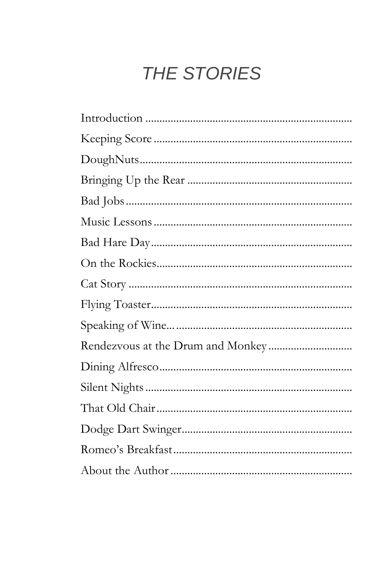# THE STORIES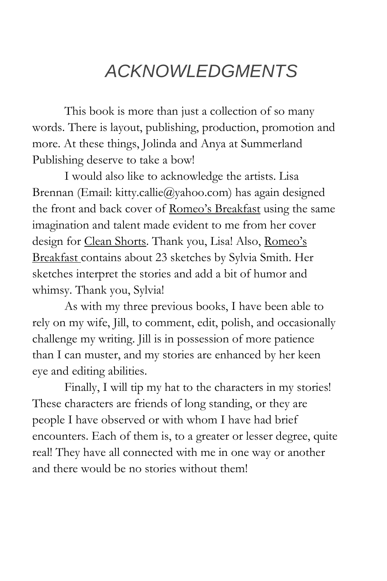# *ACKNOWLEDGMENTS*

This book is more than just a collection of so many words. There is layout, publishing, production, promotion and more. At these things, Jolinda and Anya at Summerland Publishing deserve to take a bow!

I would also like to acknowledge the artists. Lisa Brennan (Email: kitty.callie@yahoo.com) has again designed the front and back cover of Romeo's Breakfast using the same imagination and talent made evident to me from her cover design for Clean Shorts. Thank you, Lisa! Also, Romeo's Breakfast contains about 23 sketches by Sylvia Smith. Her sketches interpret the stories and add a bit of humor and whimsy. Thank you, Sylvia!

As with my three previous books, I have been able to rely on my wife, Jill, to comment, edit, polish, and occasionally challenge my writing. Jill is in possession of more patience than I can muster, and my stories are enhanced by her keen eye and editing abilities.

Finally, I will tip my hat to the characters in my stories! These characters are friends of long standing, or they are people I have observed or with whom I have had brief encounters. Each of them is, to a greater or lesser degree, quite real! They have all connected with me in one way or another and there would be no stories without them!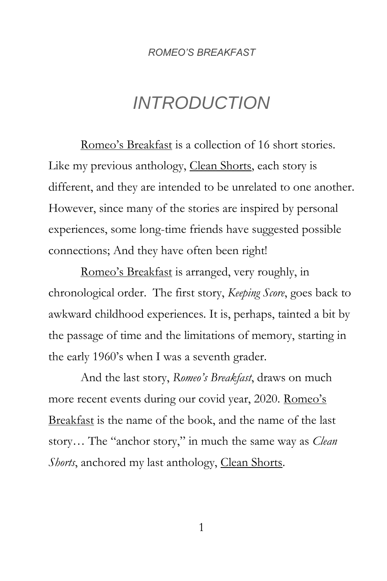# *INTRODUCTION*

<span id="page-2-0"></span>Romeo's Breakfast is a collection of 16 short stories. Like my previous anthology, Clean Shorts, each story is different, and they are intended to be unrelated to one another. However, since many of the stories are inspired by personal experiences, some long-time friends have suggested possible connections; And they have often been right!

Romeo's Breakfast is arranged, very roughly, in chronological order. The first story, *Keeping Score*, goes back to awkward childhood experiences. It is, perhaps, tainted a bit by the passage of time and the limitations of memory, starting in the early 1960's when I was a seventh grader.

And the last story, *Romeo's Breakfast*, draws on much more recent events during our covid year, 2020. Romeo's Breakfast is the name of the book, and the name of the last story… The "anchor story," in much the same way as *Clean Shorts*, anchored my last anthology, *Clean Shorts*.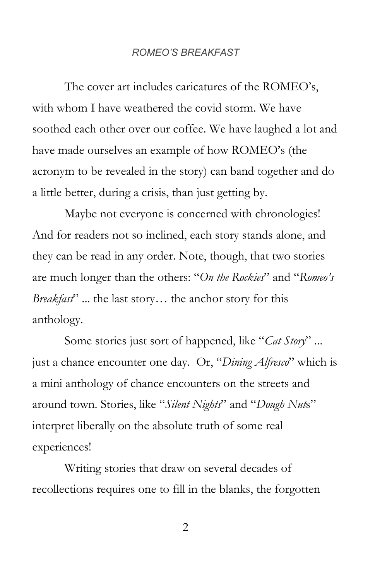The cover art includes caricatures of the ROMEO's, with whom I have weathered the covid storm. We have soothed each other over our coffee. We have laughed a lot and have made ourselves an example of how ROMEO's (the acronym to be revealed in the story) can band together and do a little better, during a crisis, than just getting by.

Maybe not everyone is concerned with chronologies! And for readers not so inclined, each story stands alone, and they can be read in any order. Note, though, that two stories are much longer than the others: "*On the Rockies*" and "*Romeo's Breakfast*" ... the last story… the anchor story for this anthology.

Some stories just sort of happened, like "*Cat Story*" ... just a chance encounter one day. Or, "*Dining Alfresco*" which is a mini anthology of chance encounters on the streets and around town. Stories, like "*Silent Nights*" and "*Dough Nut*s" interpret liberally on the absolute truth of some real experiences!

Writing stories that draw on several decades of recollections requires one to fill in the blanks, the forgotten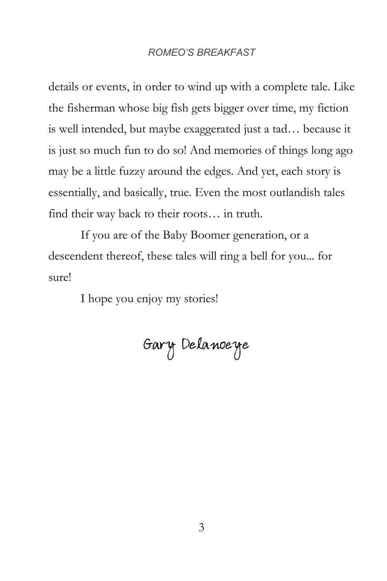details or events, in order to wind up with a complete tale. Like the fisherman whose big fish gets bigger over time, my fiction is well intended, but maybe exaggerated just a tad… because it is just so much fun to do so! And memories of things long ago may be a little fuzzy around the edges. And yet, each story is essentially, and basically, true. Even the most outlandish tales find their way back to their roots… in truth.

If you are of the Baby Boomer generation, or a descendent thereof, these tales will ring a bell for you... for sure!

<span id="page-4-0"></span>I hope you enjoy my stories!

Gary Delanoeye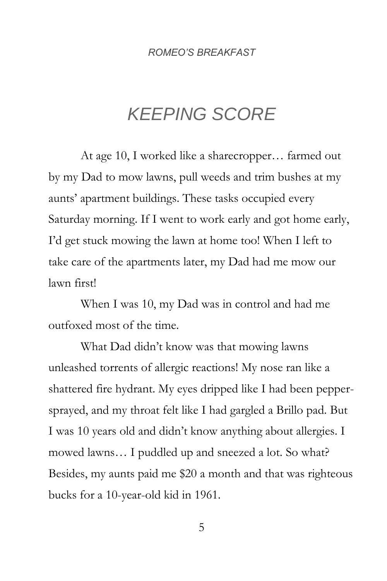# *KEEPING SCORE*

At age 10, I worked like a sharecropper… farmed out by my Dad to mow lawns, pull weeds and trim bushes at my aunts' apartment buildings. These tasks occupied every Saturday morning. If I went to work early and got home early, I'd get stuck mowing the lawn at home too! When I left to take care of the apartments later, my Dad had me mow our lawn first!

When I was 10, my Dad was in control and had me outfoxed most of the time.

What Dad didn't know was that mowing lawns unleashed torrents of allergic reactions! My nose ran like a shattered fire hydrant. My eyes dripped like I had been peppersprayed, and my throat felt like I had gargled a Brillo pad. But I was 10 years old and didn't know anything about allergies. I mowed lawns… I puddled up and sneezed a lot. So what? Besides, my aunts paid me \$20 a month and that was righteous bucks for a 10-year-old kid in 1961.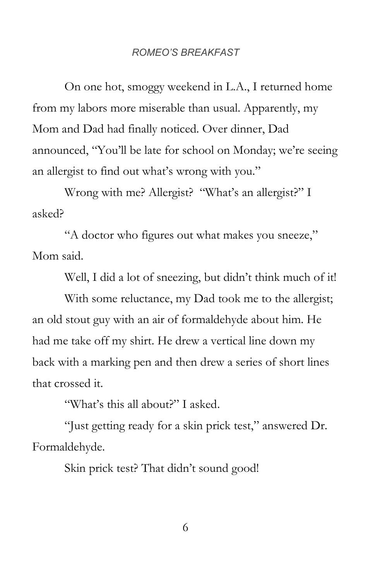On one hot, smoggy weekend in L.A., I returned home from my labors more miserable than usual. Apparently, my Mom and Dad had finally noticed. Over dinner, Dad announced, "You'll be late for school on Monday; we're seeing an allergist to find out what's wrong with you."

Wrong with me? Allergist? "What's an allergist?" I asked?

"A doctor who figures out what makes you sneeze," Mom said.

Well, I did a lot of sneezing, but didn't think much of it!

With some reluctance, my Dad took me to the allergist; an old stout guy with an air of formaldehyde about him. He had me take off my shirt. He drew a vertical line down my back with a marking pen and then drew a series of short lines that crossed it.

"What's this all about?" I asked.

"Just getting ready for a skin prick test," answered Dr. Formaldehyde.

Skin prick test? That didn't sound good!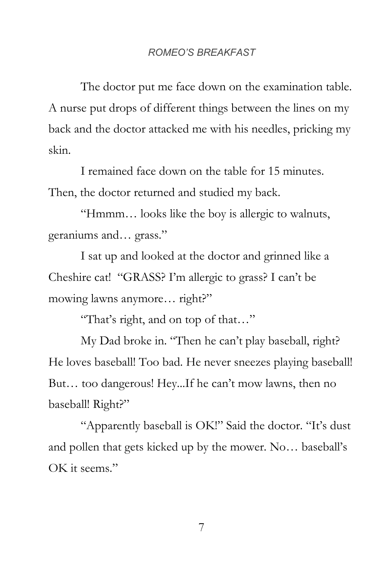The doctor put me face down on the examination table. A nurse put drops of different things between the lines on my back and the doctor attacked me with his needles, pricking my skin.

I remained face down on the table for 15 minutes. Then, the doctor returned and studied my back.

"Hmmm… looks like the boy is allergic to walnuts, geraniums and… grass."

I sat up and looked at the doctor and grinned like a Cheshire cat! "GRASS? I'm allergic to grass? I can't be mowing lawns anymore… right?"

"That's right, and on top of that…"

My Dad broke in. "Then he can't play baseball, right? He loves baseball! Too bad. He never sneezes playing baseball! But… too dangerous! Hey...If he can't mow lawns, then no baseball! Right?"

"Apparently baseball is OK!" Said the doctor. "It's dust and pollen that gets kicked up by the mower. No… baseball's OK it seems."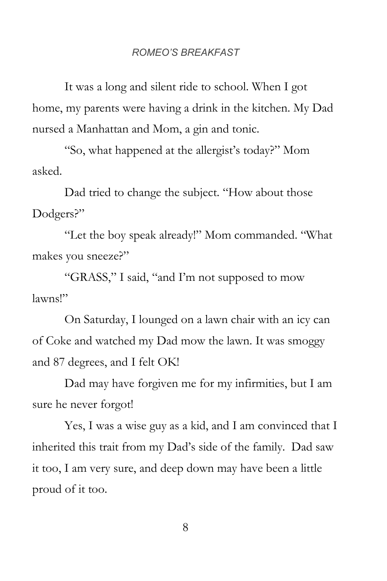It was a long and silent ride to school. When I got home, my parents were having a drink in the kitchen. My Dad nursed a Manhattan and Mom, a gin and tonic.

"So, what happened at the allergist's today?" Mom asked.

Dad tried to change the subject. "How about those Dodgers?"

"Let the boy speak already!" Mom commanded. "What makes you sneeze?"

"GRASS," I said, "and I'm not supposed to mow lawns!"

On Saturday, I lounged on a lawn chair with an icy can of Coke and watched my Dad mow the lawn. It was smoggy and 87 degrees, and I felt OK!

Dad may have forgiven me for my infirmities, but I am sure he never forgot!

Yes, I was a wise guy as a kid, and I am convinced that I inherited this trait from my Dad's side of the family. Dad saw it too, I am very sure, and deep down may have been a little proud of it too.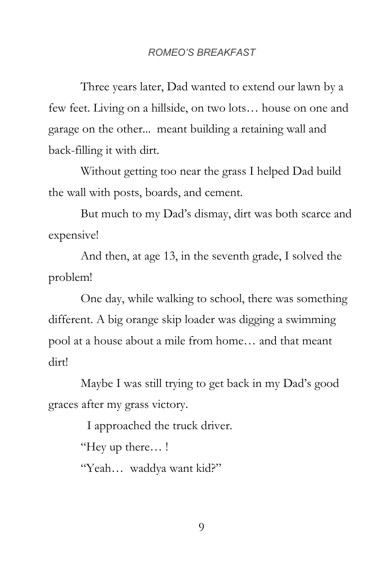Three years later, Dad wanted to extend our lawn by a few feet. Living on a hillside, on two lots… house on one and garage on the other... meant building a retaining wall and back-filling it with dirt.

Without getting too near the grass I helped Dad build the wall with posts, boards, and cement.

But much to my Dad's dismay, dirt was both scarce and expensive!

And then, at age 13, in the seventh grade, I solved the problem!

One day, while walking to school, there was something different. A big orange skip loader was digging a swimming pool at a house about a mile from home… and that meant dirt!

Maybe I was still trying to get back in my Dad's good graces after my grass victory.

I approached the truck driver.

"Hey up there… !

"Yeah… waddya want kid?"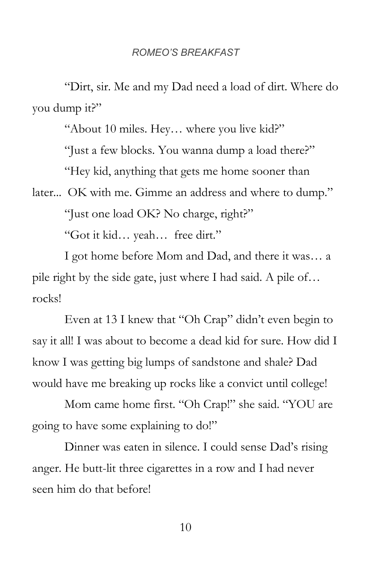"Dirt, sir. Me and my Dad need a load of dirt. Where do you dump it?"

"About 10 miles. Hey… where you live kid?"

"Just a few blocks. You wanna dump a load there?"

"Hey kid, anything that gets me home sooner than

later... OK with me. Gimme an address and where to dump."

"Just one load OK? No charge, right?"

"Got it kid… yeah… free dirt."

I got home before Mom and Dad, and there it was… a pile right by the side gate, just where I had said. A pile of… rocks!

Even at 13 I knew that "Oh Crap" didn't even begin to say it all! I was about to become a dead kid for sure. How did I know I was getting big lumps of sandstone and shale? Dad would have me breaking up rocks like a convict until college!

Mom came home first. "Oh Crap!" she said. "YOU are going to have some explaining to do!"

Dinner was eaten in silence. I could sense Dad's rising anger. He butt-lit three cigarettes in a row and I had never seen him do that before!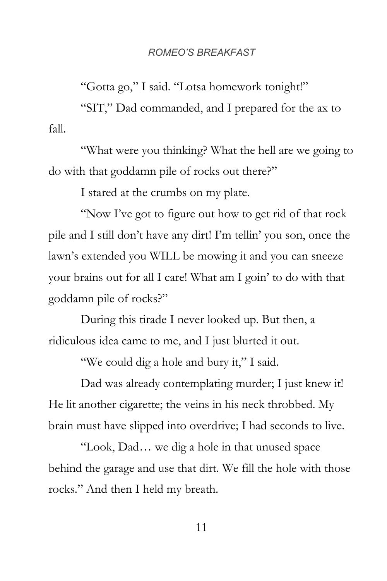"Gotta go," I said. "Lotsa homework tonight!"

"SIT," Dad commanded, and I prepared for the ax to fall.

"What were you thinking? What the hell are we going to do with that goddamn pile of rocks out there?"

I stared at the crumbs on my plate.

"Now I've got to figure out how to get rid of that rock pile and I still don't have any dirt! I'm tellin' you son, once the lawn's extended you WILL be mowing it and you can sneeze your brains out for all I care! What am I goin' to do with that goddamn pile of rocks?"

During this tirade I never looked up. But then, a ridiculous idea came to me, and I just blurted it out.

"We could dig a hole and bury it," I said.

Dad was already contemplating murder; I just knew it! He lit another cigarette; the veins in his neck throbbed. My brain must have slipped into overdrive; I had seconds to live.

"Look, Dad… we dig a hole in that unused space behind the garage and use that dirt. We fill the hole with those rocks." And then I held my breath.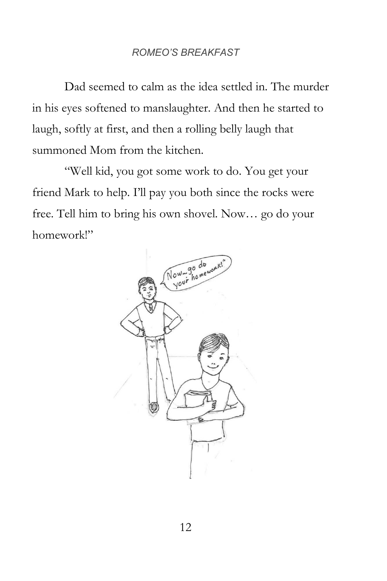Dad seemed to calm as the idea settled in. The murder in his eyes softened to manslaughter. And then he started to laugh, softly at first, and then a rolling belly laugh that summoned Mom from the kitchen.

"Well kid, you got some work to do. You get your friend Mark to help. I'll pay you both since the rocks were free. Tell him to bring his own shovel. Now… go do your homework!"

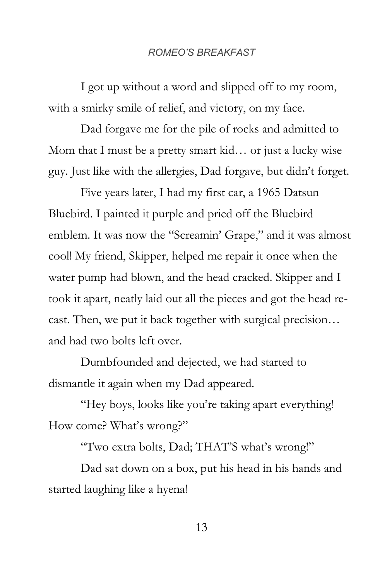I got up without a word and slipped off to my room, with a smirky smile of relief, and victory, on my face.

Dad forgave me for the pile of rocks and admitted to Mom that I must be a pretty smart kid… or just a lucky wise guy. Just like with the allergies, Dad forgave, but didn't forget.

Five years later, I had my first car, a 1965 Datsun Bluebird. I painted it purple and pried off the Bluebird emblem. It was now the "Screamin' Grape," and it was almost cool! My friend, Skipper, helped me repair it once when the water pump had blown, and the head cracked. Skipper and I took it apart, neatly laid out all the pieces and got the head recast. Then, we put it back together with surgical precision… and had two bolts left over.

Dumbfounded and dejected, we had started to dismantle it again when my Dad appeared.

"Hey boys, looks like you're taking apart everything! How come? What's wrong?"

"Two extra bolts, Dad; THAT'S what's wrong!"

Dad sat down on a box, put his head in his hands and started laughing like a hyena!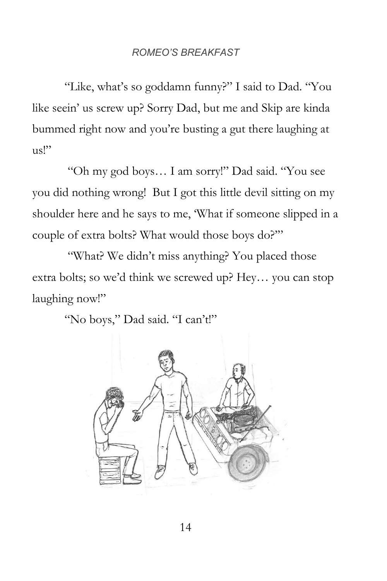"Like, what's so goddamn funny?" I said to Dad. "You like seein' us screw up? Sorry Dad, but me and Skip are kinda bummed right now and you're busting a gut there laughing at  $\text{us}$ "

"Oh my god boys… I am sorry!" Dad said. "You see you did nothing wrong! But I got this little devil sitting on my shoulder here and he says to me, 'What if someone slipped in a couple of extra bolts? What would those boys do?'"

"What? We didn't miss anything? You placed those" extra bolts; so we'd think we screwed up? Hey… you can stop laughing now!"

"No boys," Dad said. "I can't!"

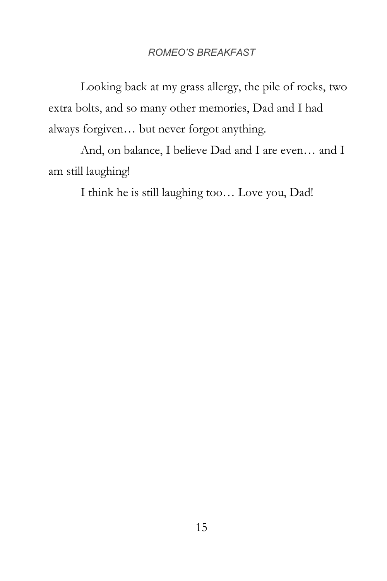Looking back at my grass allergy, the pile of rocks, two extra bolts, and so many other memories, Dad and I had always forgiven… but never forgot anything.

And, on balance, I believe Dad and I are even… and I am still laughing!

I think he is still laughing too… Love you, Dad!